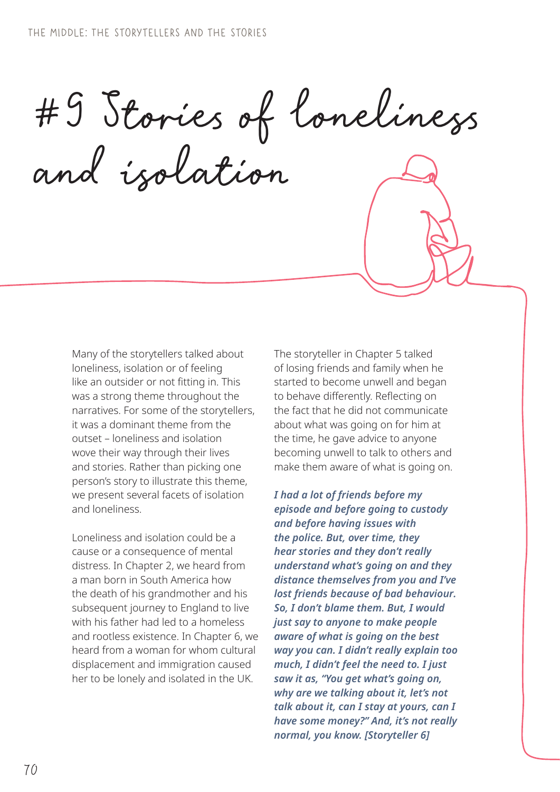#9 Stories of loneliness

and isolation

Many of the storytellers talked about loneliness, isolation or of feeling like an outsider or not fitting in. This was a strong theme throughout the narratives. For some of the storytellers, it was a dominant theme from the outset – loneliness and isolation wove their way through their lives and stories. Rather than picking one person's story to illustrate this theme, we present several facets of isolation and loneliness.

Loneliness and isolation could be a cause or a consequence of mental distress. In Chapter 2, we heard from a man born in South America how the death of his grandmother and his subsequent journey to England to live with his father had led to a homeless and rootless existence. In Chapter 6, we heard from a woman for whom cultural displacement and immigration caused her to be lonely and isolated in the UK.

The storyteller in Chapter 5 talked of losing friends and family when he started to become unwell and began to behave differently. Reflecting on the fact that he did not communicate about what was going on for him at the time, he gave advice to anyone becoming unwell to talk to others and make them aware of what is going on.

*I had a lot of friends before my episode and before going to custody and before having issues with the police. But, over time, they hear stories and they don't really understand what's going on and they distance themselves from you and I've lost friends because of bad behaviour. So, I don't blame them. But, I would just say to anyone to make people aware of what is going on the best way you can. I didn't really explain too much, I didn't feel the need to. I just saw it as, "You get what's going on, why are we talking about it, let's not talk about it, can I stay at yours, can I have some money?" And, it's not really normal, you know. [Storyteller 6]*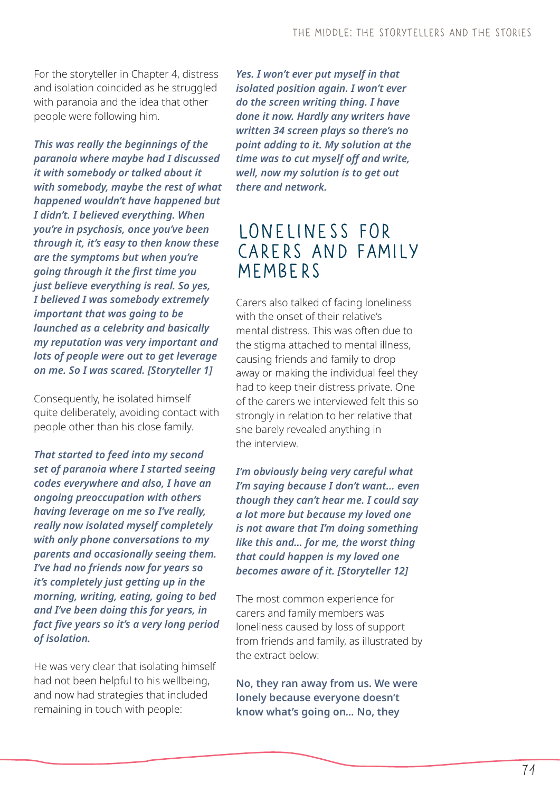For the storyteller in Chapter 4, distress and isolation coincided as he struggled with paranoia and the idea that other people were following him.

*This was really the beginnings of the paranoia where maybe had I discussed it with somebody or talked about it with somebody, maybe the rest of what happened wouldn't have happened but I didn't. I believed everything. When you're in psychosis, once you've been through it, it's easy to then know these are the symptoms but when you're going through it the first time you just believe everything is real. So yes, I believed I was somebody extremely important that was going to be launched as a celebrity and basically my reputation was very important and lots of people were out to get leverage on me. So I was scared. [Storyteller 1]*

Consequently, he isolated himself quite deliberately, avoiding contact with people other than his close family.

*That started to feed into my second set of paranoia where I started seeing codes everywhere and also, I have an ongoing preoccupation with others having leverage on me so I've really, really now isolated myself completely with only phone conversations to my parents and occasionally seeing them. I've had no friends now for years so it's completely just getting up in the morning, writing, eating, going to bed and I've been doing this for years, in fact five years so it's a very long period of isolation.* 

He was very clear that isolating himself had not been helpful to his wellbeing, and now had strategies that included remaining in touch with people:

*Yes. I won't ever put myself in that isolated position again. I won't ever do the screen writing thing. I have done it now. Hardly any writers have written 34 screen plays so there's no point adding to it. My solution at the time was to cut myself off and write, well, now my solution is to get out there and network.* 

## Loneliness for carers and family members

Carers also talked of facing loneliness with the onset of their relative's mental distress. This was often due to the stigma attached to mental illness, causing friends and family to drop away or making the individual feel they had to keep their distress private. One of the carers we interviewed felt this so strongly in relation to her relative that she barely revealed anything in the interview.

*I'm obviously being very careful what I'm saying because I don't want… even though they can't hear me. I could say a lot more but because my loved one is not aware that I'm doing something like this and… for me, the worst thing that could happen is my loved one becomes aware of it. [Storyteller 12]*

The most common experience for carers and family members was loneliness caused by loss of support from friends and family, as illustrated by the extract below:

**No, they ran away from us. We were lonely because everyone doesn't know what's going on***…* **No, they**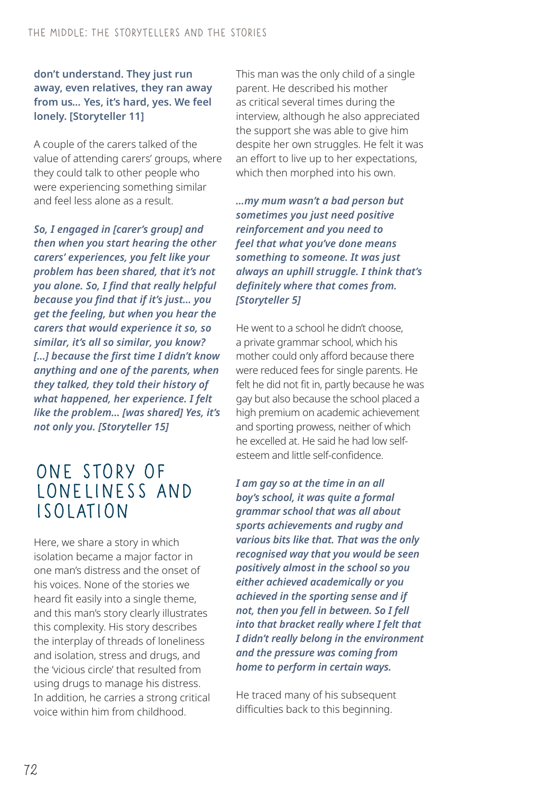#### **don't understand. They just run away, even relatives, they ran away from us***…* **Yes, it's hard, yes. We feel lonely. [Storyteller 11]**

A couple of the carers talked of the value of attending carers' groups, where they could talk to other people who were experiencing something similar and feel less alone as a result.

*So, I engaged in [carer's group] and then when you start hearing the other carers' experiences, you felt like your problem has been shared, that it's not you alone. So, I find that really helpful because you find that if it's just… you get the feeling, but when you hear the carers that would experience it so, so similar, it's all so similar, you know? […] because the first time I didn't know anything and one of the parents, when they talked, they told their history of what happened, her experience. I felt like the problem… [was shared] Yes, it's not only you. [Storyteller 15]*

## ONE STORY OF loneliness and isolation

Here, we share a story in which isolation became a major factor in one man's distress and the onset of his voices. None of the stories we heard fit easily into a single theme, and this man's story clearly illustrates this complexity. His story describes the interplay of threads of loneliness and isolation, stress and drugs, and the 'vicious circle' that resulted from using drugs to manage his distress. In addition, he carries a strong critical voice within him from childhood.

This man was the only child of a single parent. He described his mother as critical several times during the interview, although he also appreciated the support she was able to give him despite her own struggles. He felt it was an effort to live up to her expectations, which then morphed into his own.

*…my mum wasn't a bad person but sometimes you just need positive reinforcement and you need to feel that what you've done means something to someone. It was just always an uphill struggle. I think that's definitely where that comes from. [Storyteller 5]*

He went to a school he didn't choose, a private grammar school, which his mother could only afford because there were reduced fees for single parents. He felt he did not fit in, partly because he was gay but also because the school placed a high premium on academic achievement and sporting prowess, neither of which he excelled at. He said he had low selfesteem and little self-confidence.

*I am gay so at the time in an all boy's school, it was quite a formal grammar school that was all about sports achievements and rugby and various bits like that. That was the only recognised way that you would be seen positively almost in the school so you either achieved academically or you achieved in the sporting sense and if not, then you fell in between. So I fell into that bracket really where I felt that I didn't really belong in the environment and the pressure was coming from home to perform in certain ways.*

He traced many of his subsequent difficulties back to this beginning.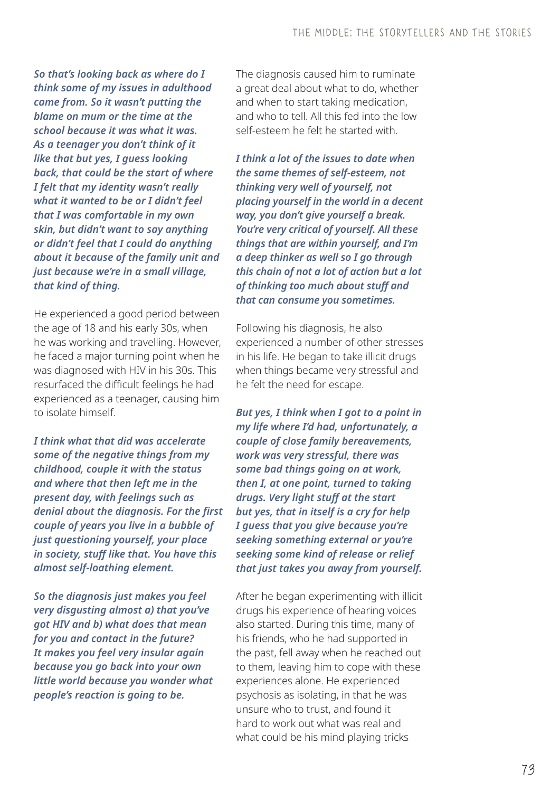*So that's looking back as where do I think some of my issues in adulthood came from. So it wasn't putting the blame on mum or the time at the school because it was what it was. As a teenager you don't think of it like that but yes, I guess looking back, that could be the start of where I felt that my identity wasn't really what it wanted to be or I didn't feel that I was comfortable in my own skin, but didn't want to say anything or didn't feel that I could do anything about it because of the family unit and just because we're in a small village, that kind of thing.*

He experienced a good period between the age of 18 and his early 30s, when he was working and travelling. However, he faced a major turning point when he was diagnosed with HIV in his 30s. This resurfaced the difficult feelings he had experienced as a teenager, causing him to isolate himself.

*I think what that did was accelerate some of the negative things from my childhood, couple it with the status and where that then left me in the present day, with feelings such as denial about the diagnosis. For the first couple of years you live in a bubble of just questioning yourself, your place in society, stuff like that. You have this almost self-loathing element.* 

*So the diagnosis just makes you feel very disgusting almost a) that you've got HIV and b) what does that mean for you and contact in the future? It makes you feel very insular again because you go back into your own little world because you wonder what people's reaction is going to be.*

The diagnosis caused him to ruminate a great deal about what to do, whether and when to start taking medication, and who to tell. All this fed into the low self-esteem he felt he started with.

*I think a lot of the issues to date when the same themes of self-esteem, not thinking very well of yourself, not placing yourself in the world in a decent way, you don't give yourself a break. You're very critical of yourself. All these things that are within yourself, and I'm a deep thinker as well so I go through this chain of not a lot of action but a lot of thinking too much about stuff and that can consume you sometimes.*

Following his diagnosis, he also experienced a number of other stresses in his life. He began to take illicit drugs when things became very stressful and he felt the need for escape.

*But yes, I think when I got to a point in my life where I'd had, unfortunately, a couple of close family bereavements, work was very stressful, there was some bad things going on at work, then I, at one point, turned to taking drugs. Very light stuff at the start but yes, that in itself is a cry for help I guess that you give because you're seeking something external or you're seeking some kind of release or relief that just takes you away from yourself.*

After he began experimenting with illicit drugs his experience of hearing voices also started. During this time, many of his friends, who he had supported in the past, fell away when he reached out to them, leaving him to cope with these experiences alone. He experienced psychosis as isolating, in that he was unsure who to trust, and found it hard to work out what was real and what could be his mind playing tricks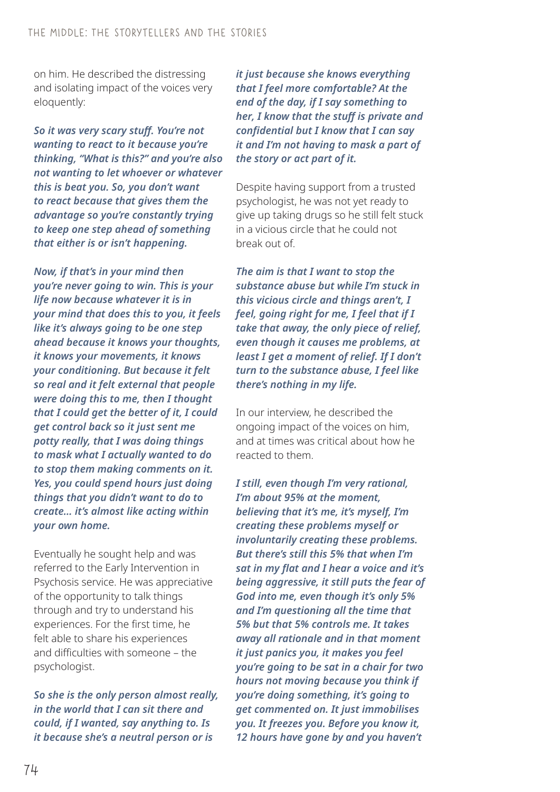on him. He described the distressing and isolating impact of the voices very eloquently:

*So it was very scary stuff. You're not wanting to react to it because you're thinking, "What is this?" and you're also not wanting to let whoever or whatever this is beat you. So, you don't want to react because that gives them the advantage so you're constantly trying to keep one step ahead of something that either is or isn't happening.* 

*Now, if that's in your mind then you're never going to win. This is your life now because whatever it is in your mind that does this to you, it feels like it's always going to be one step ahead because it knows your thoughts, it knows your movements, it knows your conditioning. But because it felt so real and it felt external that people were doing this to me, then I thought that I could get the better of it, I could get control back so it just sent me potty really, that I was doing things to mask what I actually wanted to do to stop them making comments on it. Yes, you could spend hours just doing things that you didn't want to do to create… it's almost like acting within your own home.*

Eventually he sought help and was referred to the Early Intervention in Psychosis service. He was appreciative of the opportunity to talk things through and try to understand his experiences. For the first time, he felt able to share his experiences and difficulties with someone – the psychologist.

*So she is the only person almost really, in the world that I can sit there and could, if I wanted, say anything to. Is it because she's a neutral person or is* 

*it just because she knows everything that I feel more comfortable? At the end of the day, if I say something to her, I know that the stuff is private and confidential but I know that I can say it and I'm not having to mask a part of the story or act part of it.*

Despite having support from a trusted psychologist, he was not yet ready to give up taking drugs so he still felt stuck in a vicious circle that he could not break out of.

*The aim is that I want to stop the substance abuse but while I'm stuck in this vicious circle and things aren't, I feel, going right for me, I feel that if I take that away, the only piece of relief, even though it causes me problems, at least I get a moment of relief. If I don't turn to the substance abuse, I feel like there's nothing in my life.*

In our interview, he described the ongoing impact of the voices on him, and at times was critical about how he reacted to them.

*I still, even though I'm very rational, I'm about 95% at the moment, believing that it's me, it's myself, I'm creating these problems myself or involuntarily creating these problems. But there's still this 5% that when I'm sat in my flat and I hear a voice and it's being aggressive, it still puts the fear of God into me, even though it's only 5% and I'm questioning all the time that 5% but that 5% controls me. It takes away all rationale and in that moment it just panics you, it makes you feel you're going to be sat in a chair for two hours not moving because you think if you're doing something, it's going to get commented on. It just immobilises you. It freezes you. Before you know it, 12 hours have gone by and you haven't*